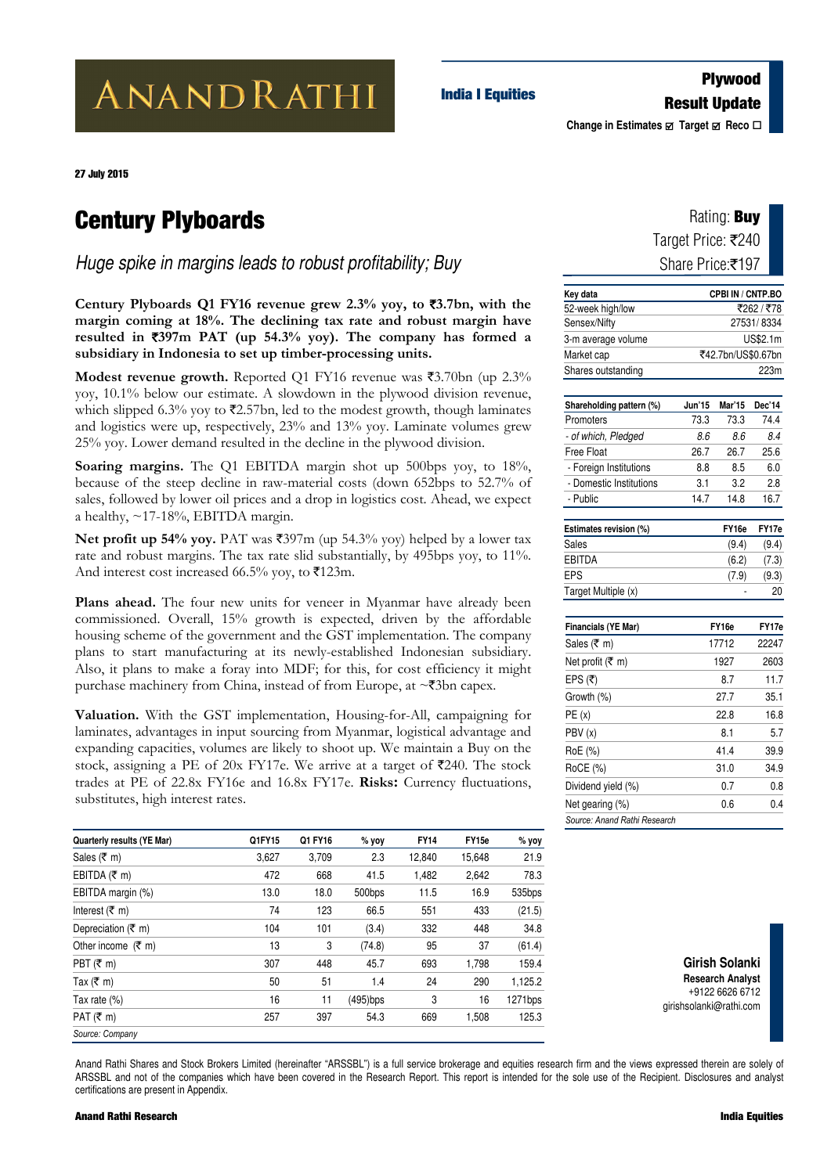# ANANDRATHI

### **Plywood Result Update India I Equities**

**Change in Estimates**  $\Phi$  Target **Ø** Reco **□** 

27 July 2015

### **Century Plyboards**

*Huge spike in margins leads to robust profitability; Buy*

**Century Plyboards Q1 FY16 revenue grew 2.3% yoy, to** `**3.7bn, with the margin coming at 18%. The declining tax rate and robust margin have resulted in** `**397m PAT (up 54.3% yoy). The company has formed a subsidiary in Indonesia to set up timber-processing units.** 

**Modest revenue growth.** Reported Q1 FY16 revenue was ₹3.70bn (up 2.3% yoy, 10.1% below our estimate. A slowdown in the plywood division revenue, which slipped 6.3% yoy to  $\bar{\mathcal{L}}2.57$ bn, led to the modest growth, though laminates and logistics were up, respectively, 23% and 13% yoy. Laminate volumes grew 25% yoy. Lower demand resulted in the decline in the plywood division.

Soaring margins. The Q1 EBITDA margin shot up 500bps yoy, to 18%, because of the steep decline in raw-material costs (down 652bps to 52.7% of sales, followed by lower oil prices and a drop in logistics cost. Ahead, we expect a healthy,  $\sim$ 17-18%, EBITDA margin.

**Net profit up 54% yoy.** PAT was  $\overline{3}397m$  (up 54.3% yoy) helped by a lower tax rate and robust margins. The tax rate slid substantially, by 495bps yoy, to 11%. And interest cost increased 66.5% yoy, to  $\bar{x}$ 123m.

Plans ahead. The four new units for veneer in Myanmar have already been commissioned. Overall, 15% growth is expected, driven by the affordable housing scheme of the government and the GST implementation. The company plans to start manufacturing at its newly-established Indonesian subsidiary. Also, it plans to make a foray into MDF; for this, for cost efficiency it might purchase machinery from China, instead of from Europe, at  $\sim$ ₹3bn capex.

` **Valuation.** With the GST implementation, Housing-for-All, campaigning for laminates, advantages in input sourcing from Myanmar, logistical advantage and expanding capacities, volumes are likely to shoot up. We maintain a Buy on the stock, assigning a PE of 20x FY17e. We arrive at a target of  $\overline{\mathfrak{Z}}240$ . The stock trades at PE of 22.8x FY16e and 16.8x FY17e. **Risks:** Currency fluctuations, substitutes, high interest rates.

| Quarterly results (YE Mar)     | Q1FY15 | Q1 FY16 | $%$ yoy  | <b>FY14</b> | FY <sub>15e</sub> | % yoy   |
|--------------------------------|--------|---------|----------|-------------|-------------------|---------|
| Sales (₹ m)                    | 3,627  | 3,709   | 2.3      | 12,840      | 15,648            | 21.9    |
| EBITDA $(\bar{\tau}$ m)        | 472    | 668     | 41.5     | 1,482       | 2,642             | 78.3    |
| EBITDA margin (%)              | 13.0   | 18.0    | 500bps   | 11.5        | 16.9              | 535bps  |
| Interest $(\bar{\tau}$ m)      | 74     | 123     | 66.5     | 551         | 433               | (21.5)  |
| Depreciation ( $\bar{\tau}$ m) | 104    | 101     | (3.4)    | 332         | 448               | 34.8    |
| Other income $(\bar{\tau}$ m)  | 13     | 3       | (74.8)   | 95          | 37                | (61.4)  |
| PBT $(\bar{\bar{\tau}})$ m)    | 307    | 448     | 45.7     | 693         | 1,798             | 159.4   |
| Tax ( $\bar{\tau}$ m)          | 50     | 51      | 1.4      | 24          | 290               | 1,125.2 |
| Tax rate $(\%)$                | 16     | 11      | (495)bps | 3           | 16                | 1271bps |
| PAT $(\bar{\tau}$ m)           | 257    | 397     | 54.3     | 669         | 1,508             | 125.3   |
| Source: Company                |        |         |          |             |                   |         |

| Rating: <b>Buy</b> |
|--------------------|
| Target Price: ₹240 |
| Share Price:₹197   |

| Key data                     |            | CPBI IN / CNTP.BO  |             |  |  |  |  |
|------------------------------|------------|--------------------|-------------|--|--|--|--|
| 52-week high/low             | ₹262 / ₹78 |                    |             |  |  |  |  |
| Sensex/Nifty                 | 27531/8334 |                    |             |  |  |  |  |
| 3-m average volume           |            |                    | US\$2.1m    |  |  |  |  |
| Market cap                   |            | ₹42.7bn/US\$0.67bn |             |  |  |  |  |
| Shares outstanding           |            |                    | 223m        |  |  |  |  |
|                              |            |                    |             |  |  |  |  |
| Shareholding pattern (%)     | Jun'15     | Mar'15             | Dec'14      |  |  |  |  |
| Promoters                    | 73.3       | 73.3               | 74.4        |  |  |  |  |
| - of which, Pledged          | 8.6        | 8.6                | 8.4         |  |  |  |  |
| <b>Free Float</b>            | 26.7       | 26.7               | 25.6        |  |  |  |  |
| - Foreign Institutions       | 8.8        | 8.5                | 6.0         |  |  |  |  |
| - Domestic Institutions      | 3.1        | 3.2                | 2.8         |  |  |  |  |
| - Public                     | 14.7       | 14.8               | 16.7        |  |  |  |  |
|                              |            |                    |             |  |  |  |  |
| Estimates revision (%)       |            | FY16e              | FY17e       |  |  |  |  |
| <b>Sales</b>                 |            | (9.4)              | (9.4)       |  |  |  |  |
| <b>EBITDA</b><br><b>EPS</b>  |            | (6.2)              | (7.3)       |  |  |  |  |
| Target Multiple (x)          |            | (7.9)              | (9.3)<br>20 |  |  |  |  |
|                              |            |                    |             |  |  |  |  |
| <b>Financials (YE Mar)</b>   |            | FY16e              | FY17e       |  |  |  |  |
| Sales (₹ m)                  |            | 17712              | 22247       |  |  |  |  |
| Net profit (₹ m)             |            | 1927               | 2603        |  |  |  |  |
| EPS (₹)                      |            | 8.7                | 11.7        |  |  |  |  |
| Growth (%)                   |            | 27.7               | 35.1        |  |  |  |  |
| PE(x)                        |            | 22.8               | 16.8        |  |  |  |  |
| PBV (x)                      |            | 8.1                | 5.7         |  |  |  |  |
| RoE (%)                      |            | 41.4               | 39.9        |  |  |  |  |
| RoCE (%)                     |            | 31.0               | 34.9        |  |  |  |  |
| Dividend yield (%)           |            | 0.7                | 0.8         |  |  |  |  |
| Net gearing (%)              |            | 0.6                | 0.4         |  |  |  |  |
| Source: Anand Rathi Research |            |                    |             |  |  |  |  |

**Girish Solanki Research Analyst**  +9122 6626 6712 girishsolanki@rathi.com

Anand Rathi Shares and Stock Brokers Limited (hereinafter "ARSSBL") is a full service brokerage and equities research firm and the views expressed therein are solely of ARSSBL and not of the companies which have been covered in the Research Report. This report is intended for the sole use of the Recipient. Disclosures and analyst certifications are present in Appendix.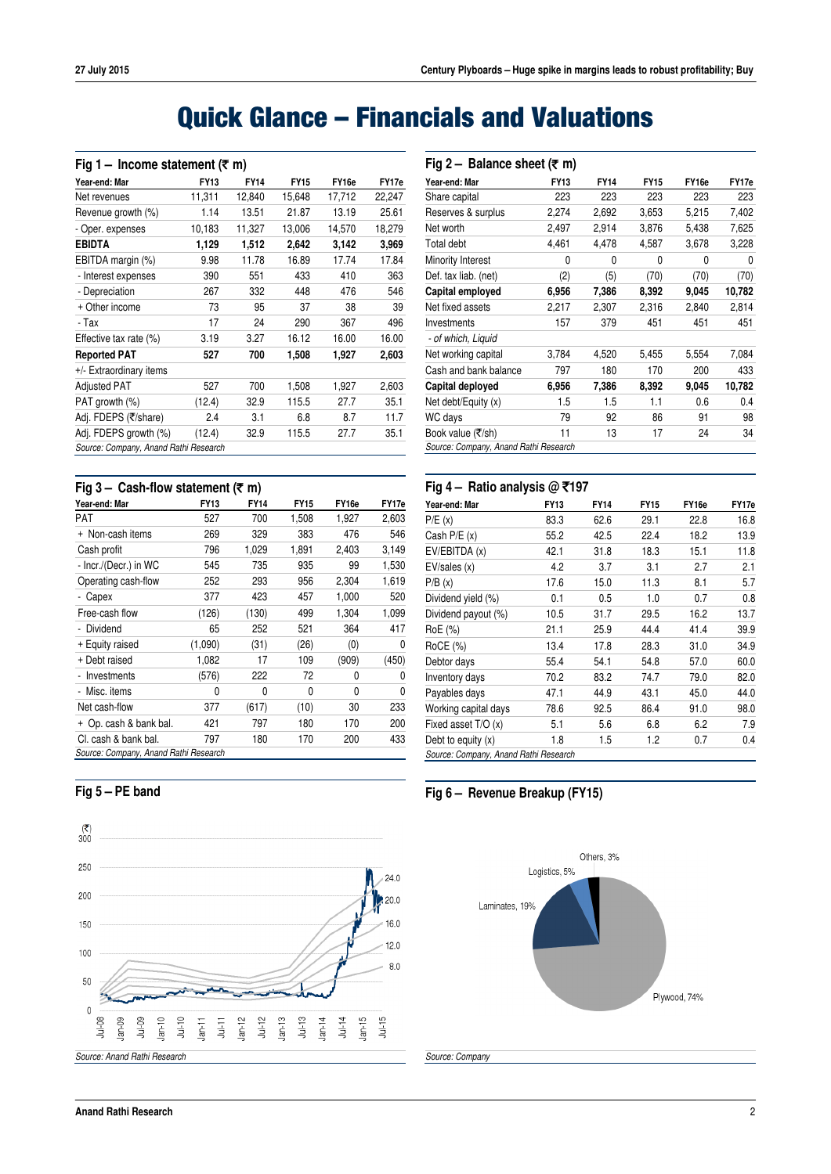## **Quick Glance – Financials and Valuations**

| Fig 1 – Income statement ( $\overline{\tau}$ m) |             |             |             |        |        |  |  |  |
|-------------------------------------------------|-------------|-------------|-------------|--------|--------|--|--|--|
| Year-end: Mar                                   | <b>FY13</b> | <b>FY14</b> | <b>FY15</b> | FY16e  | FY17e  |  |  |  |
| Net revenues                                    | 11,311      | 12,840      | 15,648      | 17,712 | 22,247 |  |  |  |
| Revenue growth (%)                              | 1.14        | 13.51       | 21.87       | 13.19  | 25.61  |  |  |  |
| - Oper. expenses                                | 10,183      | 11,327      | 13,006      | 14,570 | 18,279 |  |  |  |
| <b>EBIDTA</b>                                   | 1,129       | 1,512       | 2,642       | 3,142  | 3,969  |  |  |  |
| EBITDA margin (%)                               | 9.98        | 11.78       | 16.89       | 17.74  | 17.84  |  |  |  |
| - Interest expenses                             | 390         | 551         | 433         | 410    | 363    |  |  |  |
| - Depreciation                                  | 267         | 332         | 448         | 476    | 546    |  |  |  |
| + Other income                                  | 73          | 95          | 37          | 38     | 39     |  |  |  |
| - Tax                                           | 17          | 24          | 290         | 367    | 496    |  |  |  |
| Effective tax rate (%)                          | 3.19        | 3.27        | 16.12       | 16.00  | 16.00  |  |  |  |
| <b>Reported PAT</b>                             | 527         | 700         | 1,508       | 1,927  | 2,603  |  |  |  |
| +/- Extraordinary items                         |             |             |             |        |        |  |  |  |
| <b>Adjusted PAT</b>                             | 527         | 700         | 1,508       | 1,927  | 2,603  |  |  |  |
| PAT growth (%)                                  | (12.4)      | 32.9        | 115.5       | 27.7   | 35.1   |  |  |  |
| Adj. FDEPS (₹/share)                            | 2.4         | 3.1         | 6.8         | 8.7    | 11.7   |  |  |  |
| Adj. FDEPS growth (%)                           | (12.4)      | 32.9        | 115.5       | 27.7   | 35.1   |  |  |  |
| Source: Company, Anand Rathi Research           |             |             |             |        |        |  |  |  |
|                                                 |             |             |             |        |        |  |  |  |

### **Fig 3 – Cash-flow statement (**` **m)**

| Year-end: Mar                         | <b>FY13</b> | <b>FY14</b> | <b>FY15</b> | FY16e | FY17e |
|---------------------------------------|-------------|-------------|-------------|-------|-------|
| PAT                                   | 527         | 700         | 1,508       | 1,927 | 2,603 |
| Non-cash items<br>$+$                 | 269         | 329         | 383         | 476   | 546   |
| Cash profit                           | 796         | 1,029       | 1,891       | 2,403 | 3,149 |
| - Incr./(Decr.) in WC                 | 545         | 735         | 935         | 99    | 1,530 |
| Operating cash-flow                   | 252         | 293         | 956         | 2,304 | 1,619 |
| Capex                                 | 377         | 423         | 457         | 1,000 | 520   |
| Free-cash flow                        | (126)       | (130)       | 499         | 1,304 | 1,099 |
| Dividend                              | 65          | 252         | 521         | 364   | 417   |
| + Equity raised                       | (1,090)     | (31)        | (26)        | (0)   | 0     |
| + Debt raised                         | 1,082       | 17          | 109         | (909) | (450) |
| Investments                           | (576)       | 222         | 72          | 0     | 0     |
| - Misc. items                         | 0           | 0           | 0           | 0     | 0     |
| Net cash-flow                         | 377         | (617)       | (10)        | 30    | 233   |
| + Op. cash & bank bal.                | 421         | 797         | 180         | 170   | 200   |
| CI, cash & bank bal.                  | 797         | 180         | 170         | 200   | 433   |
| Source: Company, Anand Rathi Research |             |             |             |       |       |

| Fig 2 – Balance sheet ( $\overline{\tau}$ m) |             |             |             |       |        |
|----------------------------------------------|-------------|-------------|-------------|-------|--------|
| Year-end: Mar                                | <b>FY13</b> | <b>FY14</b> | <b>FY15</b> | FY16e | FY17e  |
| Share capital                                | 223         | 223         | 223         | 223   | 223    |
| Reserves & surplus                           | 2,274       | 2,692       | 3,653       | 5,215 | 7,402  |
| Net worth                                    | 2,497       | 2,914       | 3,876       | 5,438 | 7,625  |
| Total debt                                   | 4,461       | 4,478       | 4,587       | 3,678 | 3,228  |
| Minority Interest                            | 0           | 0           | 0           | 0     | 0      |
| Def. tax liab. (net)                         | (2)         | (5)         | (70)        | (70)  | (70)   |
| Capital employed                             | 6,956       | 7,386       | 8,392       | 9,045 | 10,782 |
| Net fixed assets                             | 2,217       | 2,307       | 2,316       | 2,840 | 2,814  |
| Investments                                  | 157         | 379         | 451         | 451   | 451    |
| - of which, Liquid                           |             |             |             |       |        |
| Net working capital                          | 3,784       | 4,520       | 5,455       | 5,554 | 7,084  |
| Cash and bank balance                        | 797         | 180         | 170         | 200   | 433    |
| Capital deployed                             | 6,956       | 7,386       | 8,392       | 9,045 | 10,782 |
| Net debt/Equity (x)                          | 1.5         | 1.5         | 1.1         | 0.6   | 0.4    |
| WC days                                      | 79          | 92          | 86          | 91    | 98     |
| Book value (₹/sh)                            | 11          | 13          | 17          | 24    | 34     |
| Source: Company, Anand Rathi Research        |             |             |             |       |        |
|                                              |             |             |             |       |        |

#### **Fig 4 – Ratio analysis @** `**197**

| Year-end: Mar                         | <b>FY13</b> | <b>FY14</b> | <b>FY15</b> | FY16e | FY17e |
|---------------------------------------|-------------|-------------|-------------|-------|-------|
| P/E(x)                                | 83.3        | 62.6        | 29.1        | 22.8  | 16.8  |
| Cash $P/E(x)$                         | 55.2        | 42.5        | 22.4        | 18.2  | 13.9  |
| EV/EBITDA (x)                         | 42.1        | 31.8        | 18.3        | 15.1  | 11.8  |
| EV/sales(x)                           | 4.2         | 3.7         | 3.1         | 2.7   | 2.1   |
| P/B(x)                                | 17.6        | 15.0        | 11.3        | 8.1   | 5.7   |
| Dividend yield (%)                    | 0.1         | 0.5         | 1.0         | 0.7   | 0.8   |
| Dividend payout (%)                   | 10.5        | 31.7        | 29.5        | 16.2  | 13.7  |
| RoE (%)                               | 21.1        | 25.9        | 44.4        | 41.4  | 39.9  |
| RoCE (%)                              | 13.4        | 17.8        | 28.3        | 31.0  | 34.9  |
| Debtor days                           | 55.4        | 54.1        | 54.8        | 57.0  | 60.0  |
| Inventory days                        | 70.2        | 83.2        | 74.7        | 79.0  | 82.0  |
| Payables days                         | 47.1        | 44.9        | 43.1        | 45.0  | 44.0  |
| Working capital days                  | 78.6        | 92.5        | 86.4        | 91.0  | 98.0  |
| Fixed asset T/O (x)                   | 5.1         | 5.6         | 6.8         | 6.2   | 7.9   |
| Debt to equity $(x)$                  | 1.8         | 1.5         | 1.2         | 0.7   | 0.4   |
| Source: Company, Anand Rathi Research |             |             |             |       |       |

**Fig 6 – Revenue Breakup (FY15)**



### **Fig 5 – PE band**

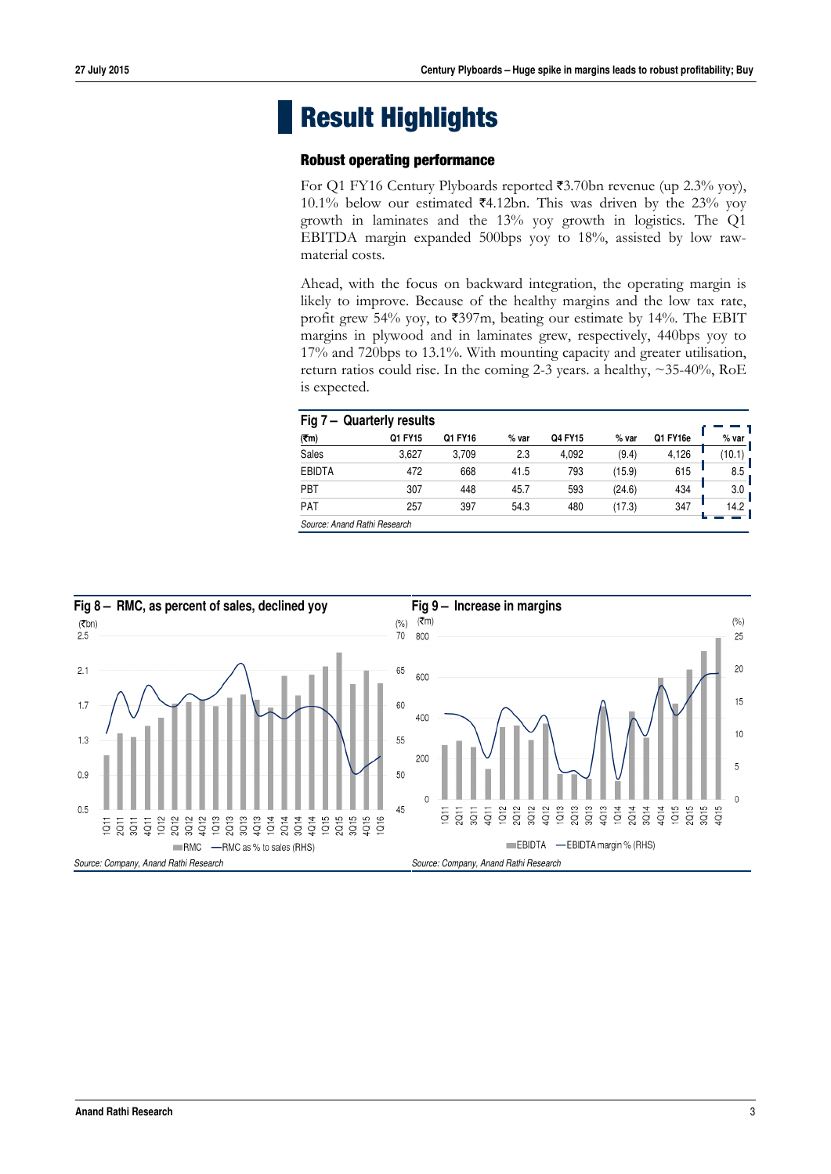## **Result Highlights**

#### **Robust operating performance**

For Q1 FY16 Century Plyboards reported  $\overline{53.70}$ bn revenue (up 2.3% yoy), 10.1% below our estimated  $24.12$ bn. This was driven by the 23% yoy growth in laminates and the 13% yoy growth in logistics. The Q1 EBITDA margin expanded 500bps yoy to 18%, assisted by low rawmaterial costs.

Ahead, with the focus on backward integration, the operating margin is likely to improve. Because of the healthy margins and the low tax rate, profit grew 54% yoy, to  $\overline{5397m}$ , beating our estimate by 14%. The EBIT margins in plywood and in laminates grew, respectively, 440bps yoy to 17% and 720bps to 13.1%. With mounting capacity and greater utilisation, return ratios could rise. In the coming 2-3 years. a healthy, ~35-40%, RoE is expected.

| Fig $7-$<br><b>Quarterly results</b> |         |         |       |         |        |          |        |
|--------------------------------------|---------|---------|-------|---------|--------|----------|--------|
| (₹m)                                 | Q1 FY15 | Q1 FY16 | % var | Q4 FY15 | % var  | Q1 FY16e | % var  |
| Sales                                | 3,627   | 3,709   | 2.3   | 4,092   | (9.4)  | 4,126    | (10.1) |
| <b>EBIDTA</b>                        | 472     | 668     | 41.5  | 793     | (15.9) | 615      | 8.5    |
| PBT                                  | 307     | 448     | 45.7  | 593     | (24.6) | 434      | 3.0    |
| PAT                                  | 257     | 397     | 54.3  | 480     | (17.3) | 347      | 14.2   |
| Source: Anand Rathi Research         |         |         |       |         |        |          |        |

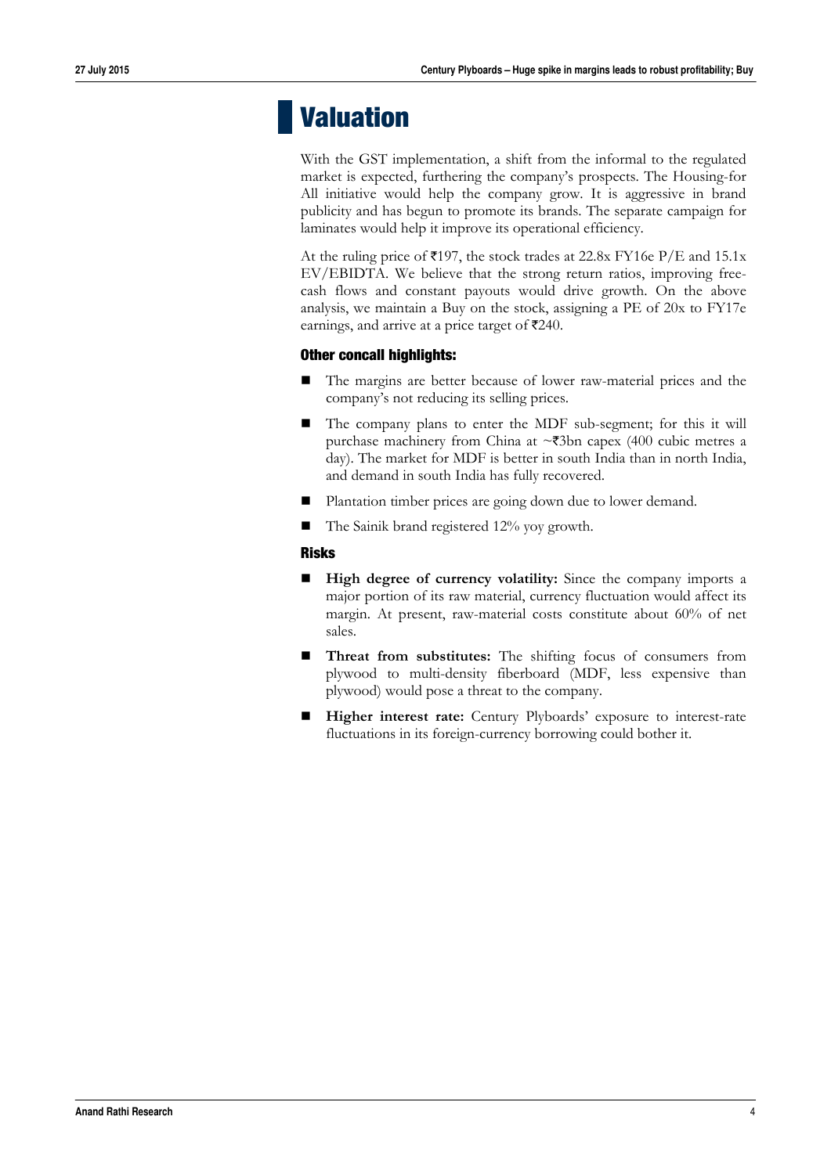## **Valuation**

With the GST implementation, a shift from the informal to the regulated market is expected, furthering the company's prospects. The Housing-for All initiative would help the company grow. It is aggressive in brand publicity and has begun to promote its brands. The separate campaign for laminates would help it improve its operational efficiency.

At the ruling price of  $\overline{5197}$ , the stock trades at 22.8x FY16e P/E and 15.1x EV/EBIDTA. We believe that the strong return ratios, improving freecash flows and constant payouts would drive growth. On the above analysis, we maintain a Buy on the stock, assigning a PE of 20x to FY17e earnings, and arrive at a price target of  $\overline{\epsilon}240$ .

#### **Other concall highlights:**

- The margins are better because of lower raw-material prices and the company's not reducing its selling prices.
- The company plans to enter the MDF sub-segment; for this it will purchase machinery from China at  $\sim$ ₹3bn capex (400 cubic metres a day). The market for MDF is better in south India than in north India, and demand in south India has fully recovered.
- Plantation timber prices are going down due to lower demand.
- $\blacksquare$  The Sainik brand registered 12% yoy growth.

#### **Risks**

- **High degree of currency volatility:** Since the company imports a major portion of its raw material, currency fluctuation would affect its margin. At present, raw-material costs constitute about 60% of net sales.
- **Threat from substitutes:** The shifting focus of consumers from plywood to multi-density fiberboard (MDF, less expensive than plywood) would pose a threat to the company.
- Higher interest rate: Century Plyboards' exposure to interest-rate fluctuations in its foreign-currency borrowing could bother it.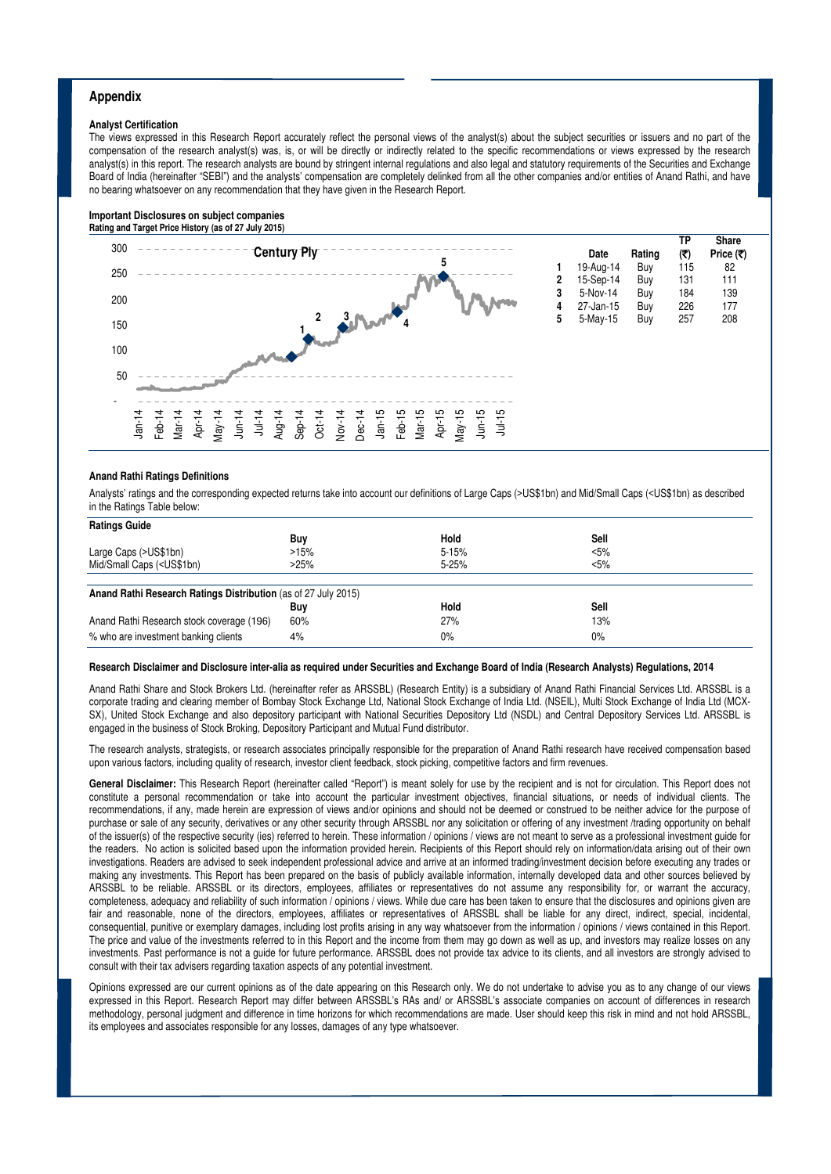#### **Appendix**

#### **Analyst Certification**

The views expressed in this Research Report accurately reflect the personal views of the analyst(s) about the subject securities or issuers and no part of the compensation of the research analyst(s) was, is, or will be directly or indirectly related to the specific recommendations or views expressed by the research analyst(s) in this report. The research analysts are bound by stringent internal regulations and also legal and statutory requirements of the Securities and Exchange Board of India (hereinafter "SEBI") and the analysts' compensation are completely delinked from all the other companies and/or entities of Anand Rathi, and have no bearing whatsoever on any recommendation that they have given in the Research Report.

#### **Important Disclosures on subject companies Rating and Target Price History (as of 27 July 2015)**



#### **Anand Rathi Ratings Definitions**

Analysts' ratings and the corresponding expected returns take into account our definitions of Large Caps (>US\$1bn) and Mid/Small Caps (<US\$1bn) as described in the Ratings Table below:

| <b>Ratings Guide</b>                                                                                                      |      |           |         |
|---------------------------------------------------------------------------------------------------------------------------|------|-----------|---------|
|                                                                                                                           | Buy  | Hold      | Sell    |
| Large Caps (>US\$1bn)                                                                                                     | >15% | $5 - 15%$ | $< 5\%$ |
| Mid/Small Caps ( <us\$1bn)< td=""><td>&gt;25%</td><td><math>5 - 25%</math></td><td><math>&lt; 5\%</math></td></us\$1bn)<> | >25% | $5 - 25%$ | $< 5\%$ |
|                                                                                                                           |      |           |         |
| Anand Rathi Research Ratings Distribution (as of 27 July 2015)                                                            |      |           |         |
|                                                                                                                           | Buy  | Hold      | Sell    |
| Anand Rathi Research stock coverage (196)                                                                                 | 60%  | 27%       | 13%     |
| % who are investment banking clients                                                                                      | 4%   | $0\%$     | 0%      |

#### **Research Disclaimer and Disclosure inter-alia as required under Securities and Exchange Board of India (Research Analysts) Regulations, 2014**

Anand Rathi Share and Stock Brokers Ltd. (hereinafter refer as ARSSBL) (Research Entity) is a subsidiary of Anand Rathi Financial Services Ltd. ARSSBL is a corporate trading and clearing member of Bombay Stock Exchange Ltd, National Stock Exchange of India Ltd. (NSEIL), Multi Stock Exchange of India Ltd (MCX-SX), United Stock Exchange and also depository participant with National Securities Depository Ltd (NSDL) and Central Depository Services Ltd. ARSSBL is engaged in the business of Stock Broking, Depository Participant and Mutual Fund distributor.

The research analysts, strategists, or research associates principally responsible for the preparation of Anand Rathi research have received compensation based upon various factors, including quality of research, investor client feedback, stock picking, competitive factors and firm revenues.

General Disclaimer: This Research Report (hereinafter called "Report") is meant solely for use by the recipient and is not for circulation. This Report does not constitute a personal recommendation or take into account the particular investment objectives, financial situations, or needs of individual clients. The recommendations, if any, made herein are expression of views and/or opinions and should not be deemed or construed to be neither advice for the purpose of purchase or sale of any security, derivatives or any other security through ARSSBL nor any solicitation or offering of any investment /trading opportunity on behalf of the issuer(s) of the respective security (ies) referred to herein. These information / opinions / views are not meant to serve as a professional investment guide for the readers. No action is solicited based upon the information provided herein. Recipients of this Report should rely on information/data arising out of their own investigations. Readers are advised to seek independent professional advice and arrive at an informed trading/investment decision before executing any trades or making any investments. This Report has been prepared on the basis of publicly available information, internally developed data and other sources believed by ARSSBL to be reliable. ARSSBL or its directors, employees, affiliates or representatives do not assume any responsibility for, or warrant the accuracy, completeness, adequacy and reliability of such information / opinions / views. While due care has been taken to ensure that the disclosures and opinions given are fair and reasonable, none of the directors, employees, affiliates or representatives of ARSSBL shall be liable for any direct, indirect, special, incidental, consequential, punitive or exemplary damages, including lost profits arising in any way whatsoever from the information / opinions / views contained in this Report. The price and value of the investments referred to in this Report and the income from them may go down as well as up, and investors may realize losses on any investments. Past performance is not a guide for future performance. ARSSBL does not provide tax advice to its clients, and all investors are strongly advised to consult with their tax advisers regarding taxation aspects of any potential investment.

Opinions expressed are our current opinions as of the date appearing on this Research only. We do not undertake to advise you as to any change of our views expressed in this Report. Research Report may differ between ARSSBL's RAs and/ or ARSSBL's associate companies on account of differences in research methodology, personal judgment and difference in time horizons for which recommendations are made. User should keep this risk in mind and not hold ARSSBL, its employees and associates responsible for any losses, damages of any type whatsoever.